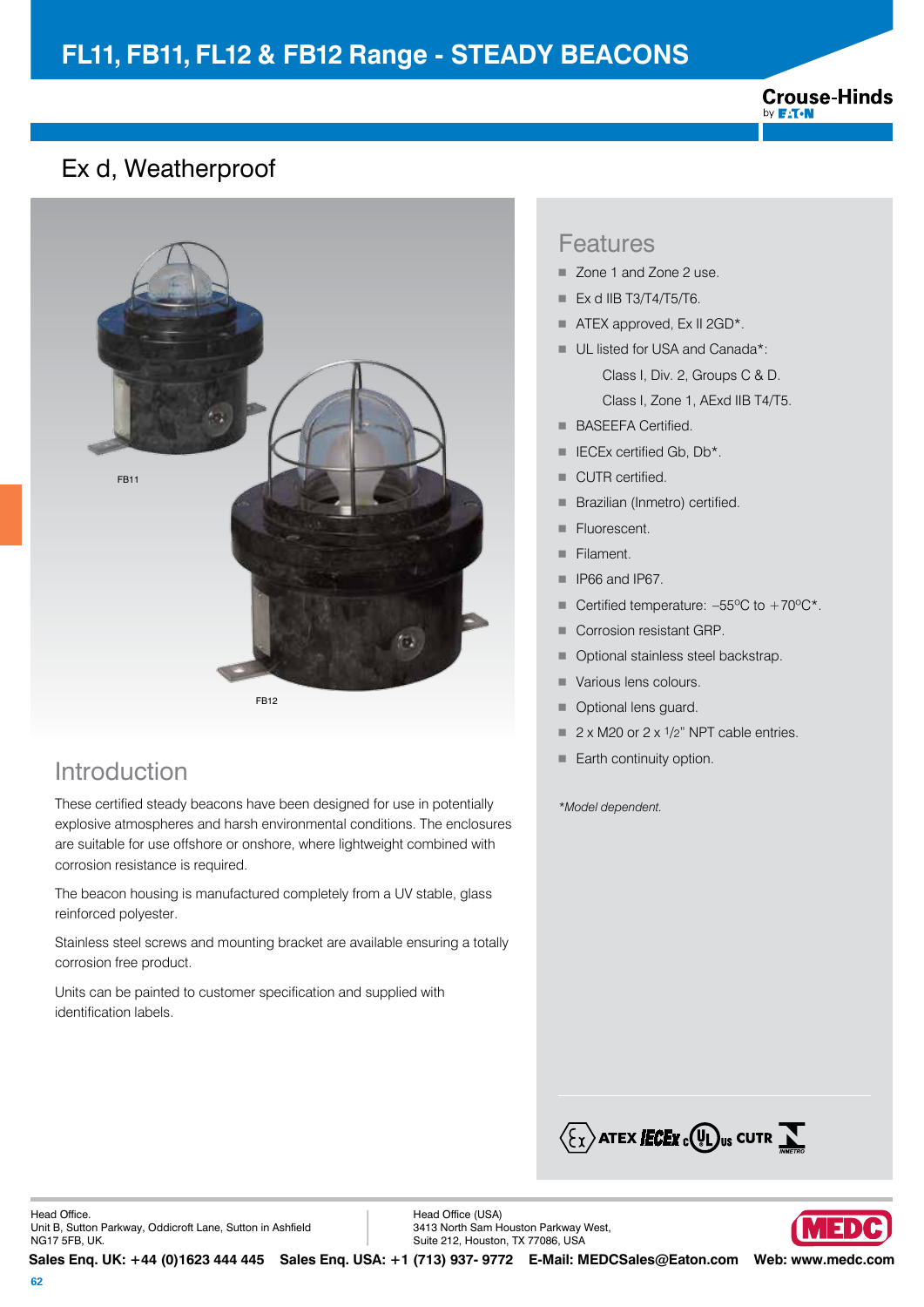## **FL11, FB11, FL12 & FB12 Range - STEADY BEACONS**



### Ex d, Weatherproof



## Introduction

These certified steady beacons have been designed for use in potentially explosive atmospheres and harsh environmental conditions. The enclosures are suitable for use offshore or onshore, where lightweight combined with corrosion resistance is required.

The beacon housing is manufactured completely from a UV stable, glass reinforced polyester.

Stainless steel screws and mounting bracket are available ensuring a totally corrosion free product.

Units can be painted to customer specification and supplied with identification labels.

#### Features

- Zone 1 and Zone 2 use.
- $\blacksquare$  Ex d IIB T3/T4/T5/T6.
- $\blacksquare$  ATEX approved, Ex II 2GD\*.
- UL listed for USA and Canada\*: Class I, Div. 2, Groups C & D. Class I, Zone 1, AExd IIB T4/T5.
- **BASEEFA Certified.**
- $\blacksquare$  IECEx certified Gb, Db\*.
- CUTR certified.
- **Brazilian (Inmetro) certified.**
- **Fluorescent.**
- Filament.
- $\blacksquare$  IP66 and IP67.
- Certified temperature:  $-55^{\circ}$ C to  $+70^{\circ}$ C\*.
- Corrosion resistant GRP.
- Optional stainless steel backstrap.
- Various lens colours.
- Optional lens quard.
- $\blacksquare$  2 x M20 or 2 x 1/2" NPT cable entries.
- $\blacksquare$  Earth continuity option.

*\*Model dependent.* 



Head Office. Unit B, Sutton Parkway, Oddicroft Lane, Sutton in Ashfield NG17 5FB, UK.

Head Office (USA) 3413 North Sam Houston Parkway West, Suite 212, Houston, TX 77086, USA

VEDI

**Sales Enq. UK: +44 (0)1623 444 445 Sales Enq. USA: +1 (713) 937- 9772 E-Mail: MEDCSales@Eaton.com Web: www.medc.com**